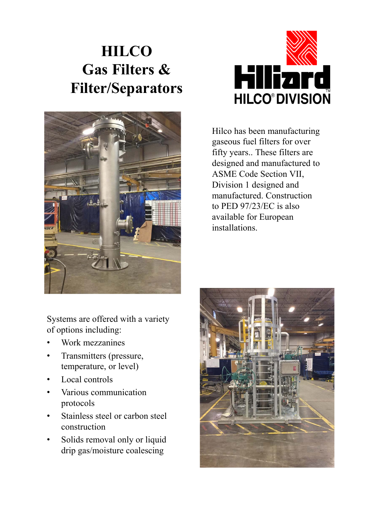## **HILCO Gas Filters & Filter/Separators**





Hilco has been manufacturing gaseous fuel filters for over fifty years.. These filters are designed and manufactured to ASME Code Section VII, Division 1 designed and manufactured. Construction to PED 97/23/EC is also available for European installations.

Systems are offered with a variety of options including:

- Work mezzanines
- Transmitters (pressure, temperature, or level)
- Local controls
- Various communication protocols
- Stainless steel or carbon steel construction
- Solids removal only or liquid drip gas/moisture coalescing

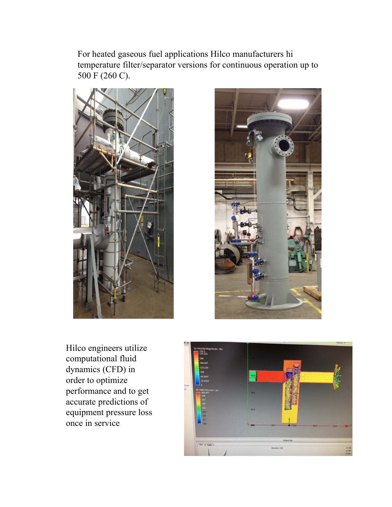For heated gaseous fuel applications Hilco manufacturers hi temperature filter/separator versions for continuous operation up to 500 F (260 C).





Hilco engineers utilize computational fluid dynamics (CFD) in order to optimize performance and to get accurate predictions of equipment pressure loss once in service

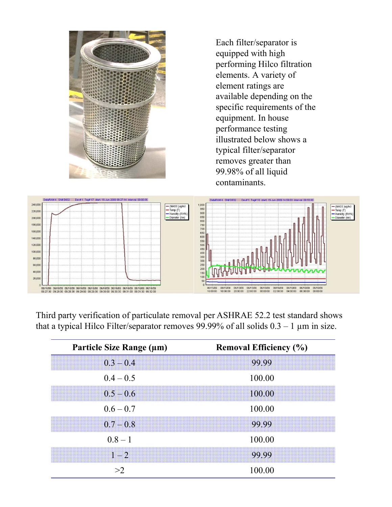

Each filter/separator is equipped with high performing Hilco filtration elements. A variety of element ratings are available depending on the specific requirements of the equipment. In house performance testing illustrated below shows a typical filter/separator removes greater than 99.98% of all liquid contaminants.



Third party verification of particulate removal per ASHRAE 52.2 test standard shows that a typical Hilco Filter/separator removes 99.99% of all solids  $0.3 - 1 \mu m$  in size.

| Particle Size Range (µm) | <b>Removal Efficiency (%)</b> |
|--------------------------|-------------------------------|
| $0.3 - 0.4$              | 99.99                         |
| $0.4 - 0.5$              | 100.00                        |
| $0.5 - 0.6$              | 100.00                        |
| $0.6 - 0.7$              | 100.00                        |
| $0.7 - 0.8$              | 99.99                         |
| $0.8 - 1$                | 100.00                        |
| $1 - 2$                  | 99.99                         |
| >2                       | 100.00                        |